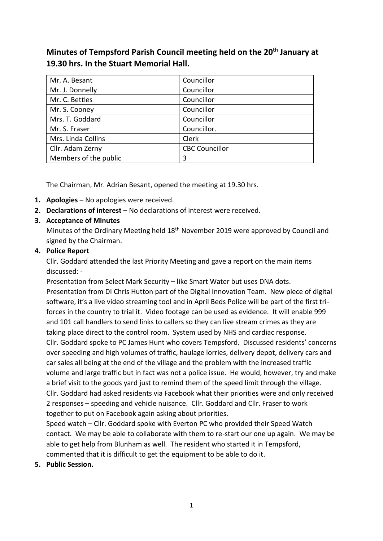**Minutes of Tempsford Parish Council meeting held on the 20th January at 19.30 hrs. In the Stuart Memorial Hall.**

| Mr. A. Besant         | Councillor            |
|-----------------------|-----------------------|
| Mr. J. Donnelly       | Councillor            |
| Mr. C. Bettles        | Councillor            |
| Mr. S. Cooney         | Councillor            |
| Mrs. T. Goddard       | Councillor            |
| Mr. S. Fraser         | Councillor.           |
| Mrs. Linda Collins    | Clerk                 |
| Cllr. Adam Zerny      | <b>CBC Councillor</b> |
| Members of the public | 3                     |

The Chairman, Mr. Adrian Besant, opened the meeting at 19.30 hrs.

- **1. Apologies** No apologies were received.
- **2. Declarations of interest** No declarations of interest were received.
- **3. Acceptance of Minutes**

Minutes of the Ordinary Meeting held 18<sup>th</sup> November 2019 were approved by Council and signed by the Chairman.

## **4. Police Report**

Cllr. Goddard attended the last Priority Meeting and gave a report on the main items discussed: -

Presentation from Select Mark Security – like Smart Water but uses DNA dots. Presentation from DI Chris Hutton part of the Digital Innovation Team. New piece of digital software, it's a live video streaming tool and in April Beds Police will be part of the first triforces in the country to trial it. Video footage can be used as evidence. It will enable 999 and 101 call handlers to send links to callers so they can live stream crimes as they are taking place direct to the control room. System used by NHS and cardiac response. Cllr. Goddard spoke to PC James Hunt who covers Tempsford. Discussed residents' concerns over speeding and high volumes of traffic, haulage lorries, delivery depot, delivery cars and car sales all being at the end of the village and the problem with the increased traffic volume and large traffic but in fact was not a police issue. He would, however, try and make a brief visit to the goods yard just to remind them of the speed limit through the village. Cllr. Goddard had asked residents via Facebook what their priorities were and only received 2 responses – speeding and vehicle nuisance. Cllr. Goddard and Cllr. Fraser to work together to put on Facebook again asking about priorities.

Speed watch – Cllr. Goddard spoke with Everton PC who provided their Speed Watch contact. We may be able to collaborate with them to re-start our one up again. We may be able to get help from Blunham as well. The resident who started it in Tempsford, commented that it is difficult to get the equipment to be able to do it.

**5. Public Session.**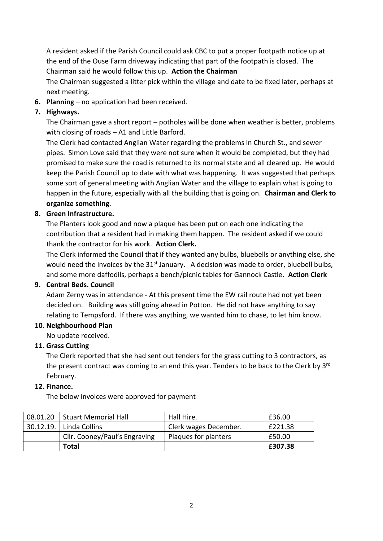A resident asked if the Parish Council could ask CBC to put a proper footpath notice up at the end of the Ouse Farm driveway indicating that part of the footpath is closed. The Chairman said he would follow this up. **Action the Chairman** 

The Chairman suggested a litter pick within the village and date to be fixed later, perhaps at next meeting.

**6. Planning** – no application had been received.

# **7. Highways.**

The Chairman gave a short report – potholes will be done when weather is better, problems with closing of roads – A1 and Little Barford.

The Clerk had contacted Anglian Water regarding the problems in Church St., and sewer pipes. Simon Love said that they were not sure when it would be completed, but they had promised to make sure the road is returned to its normal state and all cleared up. He would keep the Parish Council up to date with what was happening. It was suggested that perhaps some sort of general meeting with Anglian Water and the village to explain what is going to happen in the future, especially with all the building that is going on. **Chairman and Clerk to organize something**.

# **8. Green Infrastructure.**

The Planters look good and now a plaque has been put on each one indicating the contribution that a resident had in making them happen. The resident asked if we could thank the contractor for his work. **Action Clerk.** 

The Clerk informed the Council that if they wanted any bulbs, bluebells or anything else, she would need the invoices by the 31<sup>st</sup> January. A decision was made to order, bluebell bulbs, and some more daffodils, perhaps a bench/picnic tables for Gannock Castle. **Action Clerk**

## **9. Central Beds. Council**

Adam Zerny was in attendance - At this present time the EW rail route had not yet been decided on. Building was still going ahead in Potton. He did not have anything to say relating to Tempsford. If there was anything, we wanted him to chase, to let him know.

# **10. Neighbourhood Plan**

# No update received.

#### **11. Grass Cutting**

The Clerk reported that she had sent out tenders for the grass cutting to 3 contractors, as the present contract was coming to an end this year. Tenders to be back to the Clerk by 3<sup>rd</sup> February.

#### **12. Finance.**

The below invoices were approved for payment

| 08.01.20   Stuart Memorial Hall | Hall Hire.            | £36.00  |
|---------------------------------|-----------------------|---------|
| 30.12.19. Linda Collins         | Clerk wages December. | £221.38 |
| Cllr. Cooney/Paul's Engraving   | Plaques for planters  | £50.00  |
| <b>Total</b>                    |                       | £307.38 |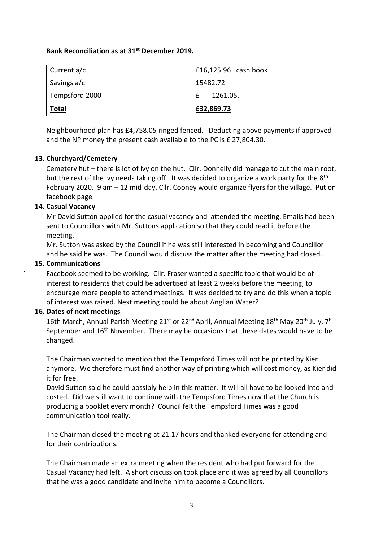#### **Bank Reconciliation as at 31st December 2019.**

| Current a/c    | £16,125.96 $\cosh$ book |
|----------------|-------------------------|
| Savings a/c    | 15482.72                |
| Tempsford 2000 | 1261.05.                |
| <b>Total</b>   | £32,869.73              |

Neighbourhood plan has £4,758.05 ringed fenced. Deducting above payments if approved and the NP money the present cash available to the PC is £ 27,804.30.

## **13. Churchyard/Cemetery**

Cemetery hut – there is lot of ivy on the hut. Cllr. Donnelly did manage to cut the main root, but the rest of the ivy needs taking off. It was decided to organize a work party for the  $8<sup>th</sup>$ February 2020. 9 am – 12 mid-day. Cllr. Cooney would organize flyers for the village. Put on facebook page.

## **14. Casual Vacancy**

Mr David Sutton applied for the casual vacancy and attended the meeting. Emails had been sent to Councillors with Mr. Suttons application so that they could read it before the meeting.

Mr. Sutton was asked by the Council if he was still interested in becoming and Councillor and he said he was. The Council would discuss the matter after the meeting had closed.

### **15. Communications**

**`** Facebook seemed to be working. Cllr. Fraser wanted a specific topic that would be of interest to residents that could be advertised at least 2 weeks before the meeting, to encourage more people to attend meetings. It was decided to try and do this when a topic of interest was raised. Next meeting could be about Anglian Water?

#### **16. Dates of next meetings**

16th March, Annual Parish Meeting 21<sup>st</sup> or 22<sup>nd</sup> April, Annual Meeting 18<sup>th</sup> May 20<sup>th</sup> July, 7<sup>h</sup> September and 16<sup>th</sup> November. There may be occasions that these dates would have to be changed.

The Chairman wanted to mention that the Tempsford Times will not be printed by Kier anymore. We therefore must find another way of printing which will cost money, as Kier did it for free.

David Sutton said he could possibly help in this matter. It will all have to be looked into and costed. Did we still want to continue with the Tempsford Times now that the Church is producing a booklet every month? Council felt the Tempsford Times was a good communication tool really.

The Chairman closed the meeting at 21.17 hours and thanked everyone for attending and for their contributions.

The Chairman made an extra meeting when the resident who had put forward for the Casual Vacancy had left. A short discussion took place and it was agreed by all Councillors that he was a good candidate and invite him to become a Councillors.